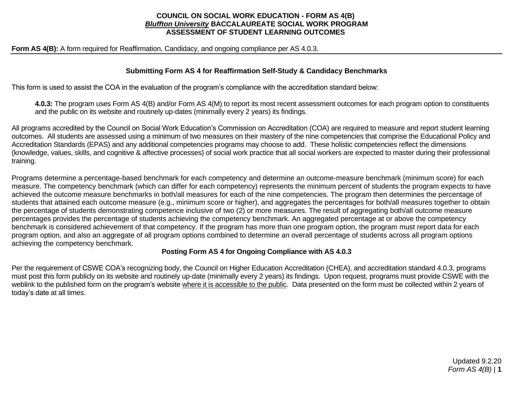### **COUNCIL ON SOCIAL WORK EDUCATION - FORM AS 4(B)** *Bluffton University* **BACCALAUREATE SOCIAL WORK PROGRAM ASSESSMENT OF STUDENT LEARNING OUTCOMES**

**Form AS 4(B):** A form required for Reaffirmation, Candidacy, and ongoing compliance per AS 4.0.3.

### **Submitting Form AS 4 for Reaffirmation Self-Study & Candidacy Benchmarks**

This form is used to assist the COA in the evaluation of the program's compliance with the accreditation standard below:

**4.0.3:** The program uses Form AS 4(B) and/or Form AS 4(M) to report its most recent assessment outcomes for each program option to constituents and the public on its website and routinely up-dates (minimally every 2 years) its findings.

All programs accredited by the Council on Social Work Education's Commission on Accreditation (COA) are required to measure and report student learning outcomes. All students are assessed using a minimum of two measures on their mastery of the nine competencies that comprise the Educational Policy and Accreditation Standards (EPAS) and any additional competencies programs may choose to add. These holistic competencies reflect the dimensions (knowledge, values, skills, and cognitive & affective processes) of social work practice that all social workers are expected to master during their professional training.

Programs determine a percentage-based benchmark for each competency and determine an outcome-measure benchmark (minimum score) for each measure. The competency benchmark (which can differ for each competency) represents the minimum percent of students the program expects to have achieved the outcome measure benchmarks in both/all measures for each of the nine competencies. The program then determines the percentage of students that attained each outcome measure (e.g., minimum score or higher), and aggregates the percentages for both/all measures together to obtain the percentage of students demonstrating competence inclusive of two (2) or more measures. The result of aggregating both/all outcome measure percentages provides the percentage of students achieving the competency benchmark. An aggregated percentage at or above the competency benchmark is considered achievement of that competency. If the program has more than one program option, the program must report data for each program option, and also an aggregate of all program options combined to determine an overall percentage of students across all program options achieving the competency benchmark.

## **Posting Form AS 4 for Ongoing Compliance with AS 4.0.3**

Per the requirement of CSWE COA's recognizing body, the Council on Higher Education Accreditation (CHEA), and accreditation standard 4.0.3, programs must post this form publicly on its website and routinely up-date (minimally every 2 years) its findings. Upon request, programs must provide CSWE with the weblink to the published form on the program's website where it is accessible to the public. Data presented on the form must be collected within 2 years of today's date at all times.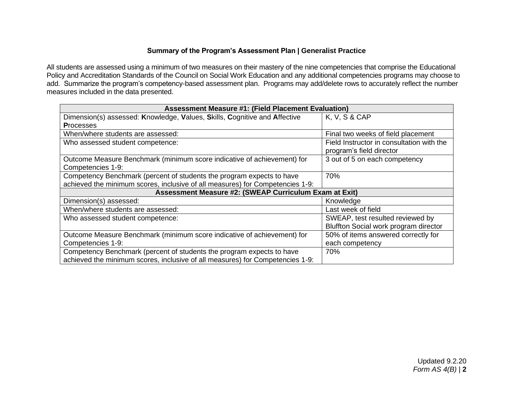## **Summary of the Program's Assessment Plan | Generalist Practice**

All students are assessed using a minimum of two measures on their mastery of the nine competencies that comprise the Educational Policy and Accreditation Standards of the Council on Social Work Education and any additional competencies programs may choose to add. Summarize the program's competency-based assessment plan. Programs may add/delete rows to accurately reflect the number measures included in the data presented.

| <b>Assessment Measure #1: (Field Placement Evaluation)</b>                                                                                             |                                                                           |  |  |  |
|--------------------------------------------------------------------------------------------------------------------------------------------------------|---------------------------------------------------------------------------|--|--|--|
| Dimension(s) assessed: Knowledge, Values, Skills, Cognitive and Affective                                                                              | K, V, S & CAP                                                             |  |  |  |
| <b>Processes</b>                                                                                                                                       |                                                                           |  |  |  |
| When/where students are assessed:                                                                                                                      | Final two weeks of field placement                                        |  |  |  |
| Who assessed student competence:                                                                                                                       | Field Instructor in consultation with the<br>program's field director     |  |  |  |
| Outcome Measure Benchmark (minimum score indicative of achievement) for<br>Competencies 1-9:                                                           | 3 out of 5 on each competency                                             |  |  |  |
| Competency Benchmark (percent of students the program expects to have<br>achieved the minimum scores, inclusive of all measures) for Competencies 1-9: | 70%                                                                       |  |  |  |
| Assessment Measure #2: (SWEAP Curriculum Exam at Exit)                                                                                                 |                                                                           |  |  |  |
| Dimension(s) assessed:                                                                                                                                 | Knowledge                                                                 |  |  |  |
| When/where students are assessed:                                                                                                                      | Last week of field                                                        |  |  |  |
| Who assessed student competence:                                                                                                                       | SWEAP, test resulted reviewed by<br>Bluffton Social work program director |  |  |  |
| Outcome Measure Benchmark (minimum score indicative of achievement) for                                                                                | 50% of items answered correctly for                                       |  |  |  |
| Competencies 1-9:                                                                                                                                      | each competency                                                           |  |  |  |
| Competency Benchmark (percent of students the program expects to have                                                                                  | 70%                                                                       |  |  |  |
| achieved the minimum scores, inclusive of all measures) for Competencies 1-9:                                                                          |                                                                           |  |  |  |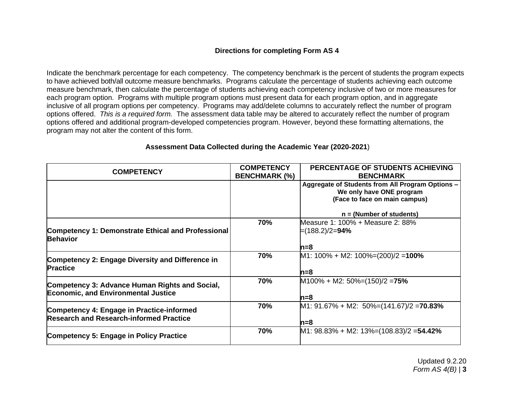## **Directions for completing Form AS 4**

Indicate the benchmark percentage for each competency. The competency benchmark is the percent of students the program expects to have achieved both/all outcome measure benchmarks. Programs calculate the percentage of students achieving each outcome measure benchmark, then calculate the percentage of students achieving each competency inclusive of two or more measures for each program option. Programs with multiple program options must present data for each program option, and in aggregate inclusive of all program options per competency. Programs may add/delete columns to accurately reflect the number of program options offered. *This is a required form.* The assessment data table may be altered to accurately reflect the number of program options offered and additional program-developed competencies program. However, beyond these formatting alternations, the program may not alter the content of this form.

| <b>COMPETENCY</b>                                                     | <b>COMPETENCY</b>    | PERCENTAGE OF STUDENTS ACHIEVING                 |
|-----------------------------------------------------------------------|----------------------|--------------------------------------------------|
|                                                                       | <b>BENCHMARK (%)</b> | <b>BENCHMARK</b>                                 |
|                                                                       |                      | Aggregate of Students from All Program Options - |
|                                                                       |                      | We only have ONE program                         |
|                                                                       |                      | (Face to face on main campus)                    |
|                                                                       |                      |                                                  |
|                                                                       |                      | $n = (Number of students)$                       |
|                                                                       | 70%                  | Measure 1: 100% + Measure 2: 88%                 |
| Competency 1: Demonstrate Ethical and Professional<br><b>Behavior</b> |                      | ⊨(188.2)/2= <b>94%</b>                           |
|                                                                       |                      | n=8                                              |
| Competency 2: Engage Diversity and Difference in                      | 70%                  | M1: $100\% + M2$ : $100\% = (200)/2 = 100\%$     |
| <b>Practice</b>                                                       |                      | n=8                                              |
| Competency 3: Advance Human Rights and Social,                        | 70%                  | $M100\% + M2$ : 50%=(150)/2 = 75%                |
| <b>Economic, and Environmental Justice</b>                            |                      | n=8                                              |
| Competency 4: Engage in Practice-informed                             | 70%                  | $M1: 91.67\% + M2: 50\% = (141.67)/2 = 70.83\%$  |
| <b>Research and Research-informed Practice</b>                        |                      | n=8                                              |
| Competency 5: Engage in Policy Practice                               | 70%                  | M1: 98.83% + M2: 13%=(108.83)/2 = 54.42%         |
|                                                                       |                      |                                                  |

## **Assessment Data Collected during the Academic Year (2020-2021**)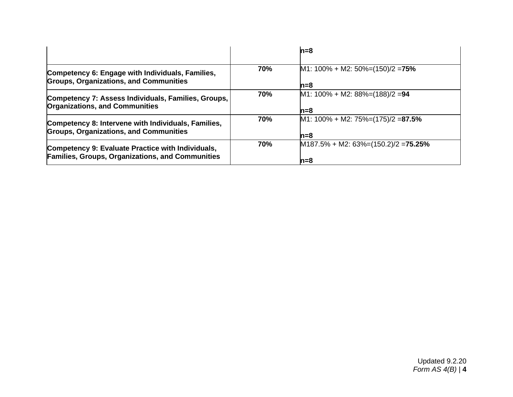|                                                                                                              |            | $n=8$                                                      |
|--------------------------------------------------------------------------------------------------------------|------------|------------------------------------------------------------|
| Competency 6: Engage with Individuals, Families,<br><b>Groups, Organizations, and Communities</b>            | 70%        | M1: $100\% + M2$ : $50\% = (150)/2 = 75\%$<br>$n = 8$      |
| Competency 7: Assess Individuals, Families, Groups,<br><b>Organizations, and Communities</b>                 | 70%        | $M1: 100\% + M2: 88\% = (188)/2 = 94$<br>$n = 8$           |
| Competency 8: Intervene with Individuals, Families,<br><b>Groups, Organizations, and Communities</b>         | 70%        | $M1: 100\% + M2: 75\% = (175)/2 = 87.5\%$<br>$n = 8$       |
| Competency 9: Evaluate Practice with Individuals,<br><b>Families, Groups, Organizations, and Communities</b> | <b>70%</b> | $M187.5\% + M2$ : 63%=(150.2)/2 = <b>75.25%</b><br>$n = 8$ |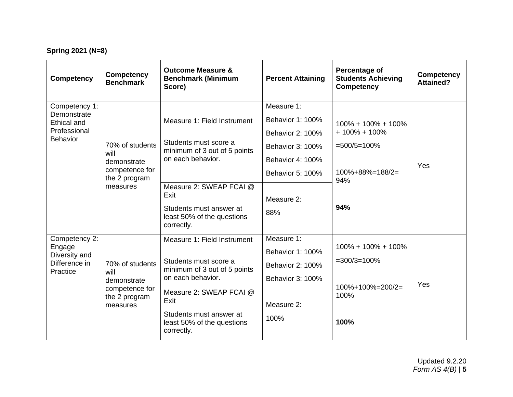# **Spring 2021 (N=8)**

| <b>Competency</b>                                                                     | <b>Competency</b><br><b>Benchmark</b>                                                 | <b>Outcome Measure &amp;</b><br><b>Benchmark (Minimum</b><br>Score)                                                                                                                                                 | <b>Percent Attaining</b>                                                                                                                                 | Percentage of<br><b>Students Achieving</b><br><b>Competency</b>                          | <b>Competency</b><br><b>Attained?</b> |
|---------------------------------------------------------------------------------------|---------------------------------------------------------------------------------------|---------------------------------------------------------------------------------------------------------------------------------------------------------------------------------------------------------------------|----------------------------------------------------------------------------------------------------------------------------------------------------------|------------------------------------------------------------------------------------------|---------------------------------------|
| Competency 1:<br>Demonstrate<br><b>Ethical and</b><br>Professional<br><b>Behavior</b> | 70% of students<br>will<br>demonstrate<br>competence for<br>the 2 program<br>measures | Measure 1: Field Instrument<br>Students must score a<br>minimum of 3 out of 5 points<br>on each behavior.<br>Measure 2: SWEAP FCAI @<br>Exit<br>Students must answer at<br>least 50% of the questions<br>correctly. | Measure 1:<br><b>Behavior 1: 100%</b><br><b>Behavior 2: 100%</b><br><b>Behavior 3: 100%</b><br>Behavior 4: 100%<br>Behavior 5: 100%<br>Measure 2:<br>88% | 100% + 100% + 100%<br>$+100\% + 100\%$<br>$=500/5=100%$<br>100%+88%=188/2=<br>94%<br>94% | Yes                                   |
| Competency 2:<br>Engage<br>Diversity and<br>Difference in<br>Practice                 | 70% of students<br>will<br>demonstrate<br>competence for<br>the 2 program<br>measures | Measure 1: Field Instrument<br>Students must score a<br>minimum of 3 out of 5 points<br>on each behavior.<br>Measure 2: SWEAP FCAI @<br>Exit<br>Students must answer at<br>least 50% of the questions<br>correctly. | Measure 1:<br>Behavior 1: 100%<br>Behavior 2: 100%<br>Behavior 3: 100%<br>Measure 2:<br>100%                                                             | $100\% + 100\% + 100\%$<br>$=300/3=100%$<br>100%+100%=200/2=<br>100%<br>100%             | Yes                                   |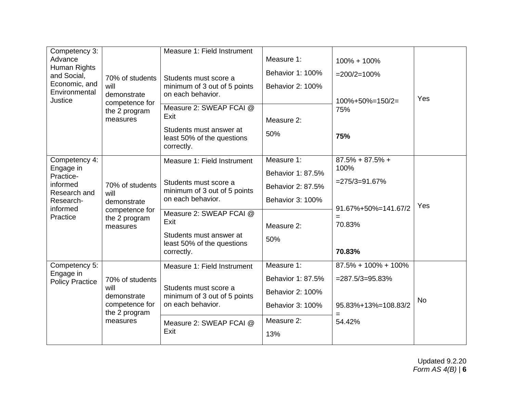| Competency 3:<br>Advance<br>Human Rights<br>and Social,<br>Economic, and<br>Environmental<br>Justice     | 70% of students<br>will<br>demonstrate<br>competence for<br>the 2 program<br>measures | Measure 1: Field Instrument<br>Students must score a<br>minimum of 3 out of 5 points<br>on each behavior.<br>Measure 2: SWEAP FCAI @<br>Exit<br>Students must answer at<br>least 50% of the questions<br>correctly. | Measure 1:<br>Behavior 1: 100%<br><b>Behavior 2: 100%</b><br>Measure 2:<br>50%                             | 100% + 100%<br>$=200/2=100%$<br>$100\% + 50\% = 150/2 =$<br>75%<br>75%                              | Yes       |
|----------------------------------------------------------------------------------------------------------|---------------------------------------------------------------------------------------|---------------------------------------------------------------------------------------------------------------------------------------------------------------------------------------------------------------------|------------------------------------------------------------------------------------------------------------|-----------------------------------------------------------------------------------------------------|-----------|
| Competency 4:<br>Engage in<br>Practice-<br>informed<br>Research and<br>Research-<br>informed<br>Practice | 70% of students<br>will<br>demonstrate<br>competence for<br>the 2 program<br>measures | Measure 1: Field Instrument<br>Students must score a<br>minimum of 3 out of 5 points<br>on each behavior.<br>Measure 2: SWEAP FCAI @<br>Exit<br>Students must answer at<br>least 50% of the questions<br>correctly. | Measure 1:<br>Behavior 1: 87.5%<br>Behavior 2: 87.5%<br>Behavior 3: 100%<br>Measure 2:<br>50%              | $87.5\% + 87.5\% +$<br>100%<br>$= 275/3 = 91.67%$<br>91.67%+50%=141.67/2<br>$=$<br>70.83%<br>70.83% | Yes       |
| Competency 5:<br>Engage in<br><b>Policy Practice</b>                                                     | 70% of students<br>will<br>demonstrate<br>competence for<br>the 2 program<br>measures | Measure 1: Field Instrument<br>Students must score a<br>minimum of 3 out of 5 points<br>on each behavior.<br>Measure 2: SWEAP FCAI @<br>Exit                                                                        | Measure 1:<br>Behavior 1: 87.5%<br><b>Behavior 2: 100%</b><br><b>Behavior 3: 100%</b><br>Measure 2:<br>13% | $87.5\% + 100\% + 100\%$<br>$= 287.5/3 = 95.83\%$<br>95.83%+13%=108.83/2<br>54.42%                  | <b>No</b> |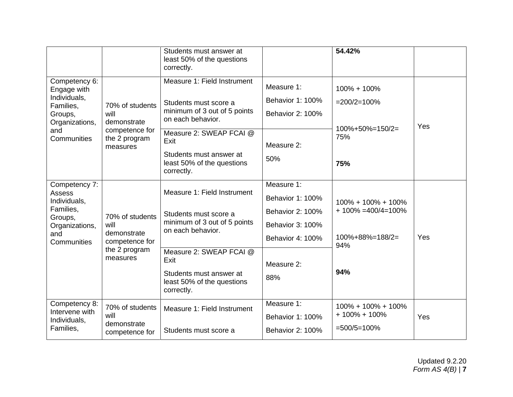|                                 |                                                | Students must answer at<br>least 50% of the questions<br>correctly.                           |                         | 54.42%                          |     |
|---------------------------------|------------------------------------------------|-----------------------------------------------------------------------------------------------|-------------------------|---------------------------------|-----|
| Competency 6:<br>Engage with    |                                                | Measure 1: Field Instrument                                                                   | Measure 1:              | 100% + 100%                     |     |
| Individuals,<br>Families,       |                                                | Students must score a<br>70% of students<br>minimum of 3 out of 5 points<br>on each behavior. | Behavior 1: 100%        | $=200/2=100%$                   |     |
| Groups,<br>Organizations,       | will<br>demonstrate                            |                                                                                               | <b>Behavior 2: 100%</b> |                                 | Yes |
| and<br>Communities              | competence for<br>the 2 program<br>measures    | Measure 2: SWEAP FCAI @<br>Exit                                                               | Measure 2:              | $100\% + 50\% = 150/2 =$<br>75% |     |
|                                 |                                                | Students must answer at<br>least 50% of the questions<br>correctly.                           | 50%                     | 75%                             |     |
| Competency 7:<br>Assess         |                                                | Measure 1: Field Instrument                                                                   | Measure 1:              |                                 |     |
| Individuals,                    |                                                |                                                                                               | Behavior 1: 100%        | 100% + 100% + 100%              |     |
| Families,<br>Groups,            | 70% of students                                | Students must score a                                                                         | Behavior 2: 100%        | $+100\% = 400/4 = 100\%$        |     |
| Organizations,                  | will                                           | minimum of 3 out of 5 points<br>on each behavior.                                             | Behavior 3: 100%        |                                 |     |
| and<br>Communities              | demonstrate<br>competence for<br>the 2 program |                                                                                               | Behavior 4: 100%        | $100\% + 88\% = 188/2 =$<br>94% | Yes |
|                                 | measures                                       | Measure 2: SWEAP FCAI @<br>Exit                                                               | Measure 2:              |                                 |     |
|                                 |                                                | Students must answer at<br>least 50% of the questions<br>correctly.                           | 88%                     | 94%                             |     |
| Competency 8:<br>Intervene with | 70% of students                                | Measure 1: Field Instrument                                                                   | Measure 1:              | 100% + 100% + 100%              |     |
| Individuals,                    | will<br>demonstrate                            |                                                                                               | Behavior 1: 100%        | $+100\% + 100\%$                | Yes |
| Families,                       | competence for                                 | Students must score a                                                                         | Behavior 2: 100%        | $=500/5=100%$                   |     |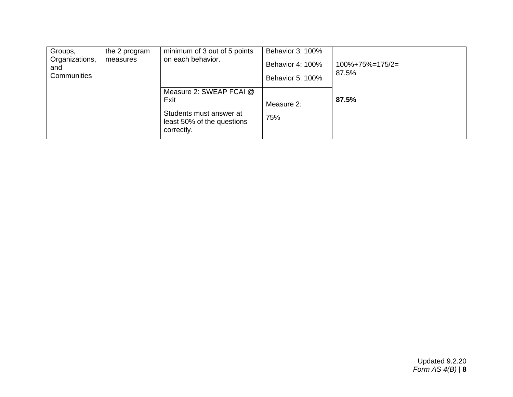| Groups,<br>Organizations,<br>and<br>Communities | the 2 program<br>measures | minimum of 3 out of 5 points<br>on each behavior.                                                      | Behavior 3: 100%<br>Behavior 4: 100%<br>Behavior 5: 100% | $100\% + 75\% = 175/2 =$<br>87.5% |  |
|-------------------------------------------------|---------------------------|--------------------------------------------------------------------------------------------------------|----------------------------------------------------------|-----------------------------------|--|
|                                                 |                           | Measure 2: SWEAP FCAI @<br>Exit<br>Students must answer at<br>least 50% of the questions<br>correctly. | Measure 2:<br>75%                                        | 87.5%                             |  |